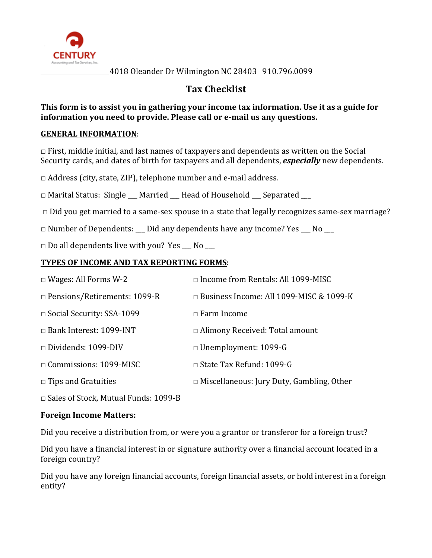

# **Tax Checklist**

# **This form is to assist you in gathering your income tax information. Use it as a guide for information** you need to provide. Please call or e-mail us any questions.

# **GENERAL INFORMATION:**

 $\Box$  First, middle initial, and last names of taxpayers and dependents as written on the Social Security cards, and dates of birth for taxpayers and all dependents, *especially* new dependents.

 $\Box$  Address (city, state, ZIP), telephone number and e-mail address.

 $\Box$  Marital Status: Single Married Head of Household Separated

 $\Box$  Did you get married to a same-sex spouse in a state that legally recognizes same-sex marriage?

 $\Box$  Number of Dependents: \_\_\_ Did any dependents have any income? Yes \_\_ No \_\_\_

 $\Box$  Do all dependents live with you? Yes No

# **TYPES OF INCOME AND TAX REPORTING FORMS:**

| $\Box$ Wages: All Forms W-2         | $\Box$ Income from Rentals: All 1099-MISC        |
|-------------------------------------|--------------------------------------------------|
| $\Box$ Pensions/Retirements: 1099-R | $\Box$ Business Income: All 1099-MISC & 1099-K   |
| $\Box$ Social Security: SSA-1099    | $\Box$ Farm Income                               |
| $\Box$ Bank Interest: 1099-INT      | $\Box$ Alimony Received: Total amount            |
| $\Box$ Dividends: 1099-DIV          | $\Box$ Unemployment: 1099-G                      |
| $\Box$ Commissions: 1099-MISC       | $\Box$ State Tax Refund: 1099-G                  |
| $\Box$ Tips and Gratuities          | $\Box$ Miscellaneous: Jury Duty, Gambling, Other |

 $\Box$  Sales of Stock, Mutual Funds: 1099-B

#### **Foreign Income Matters:**

Did you receive a distribution from, or were you a grantor or transferor for a foreign trust?

Did you have a financial interest in or signature authority over a financial account located in a foreign country?

Did you have any foreign financial accounts, foreign financial assets, or hold interest in a foreign entity?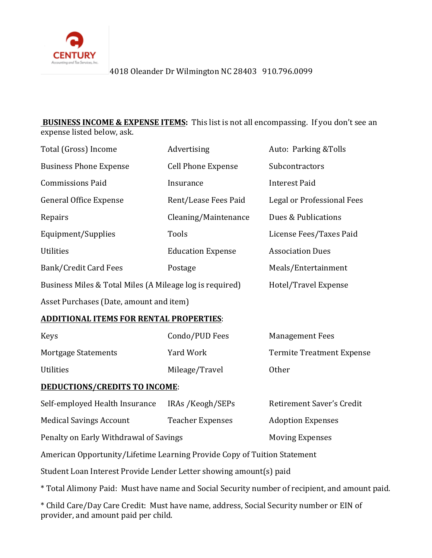

**BUSINESS INCOME & EXPENSE ITEMS:** This list is not all encompassing. If you don't see an expense listed below, ask.

| Total (Gross) Income                                     | Advertising                                        | Auto: Parking & Tolls   |  |  |
|----------------------------------------------------------|----------------------------------------------------|-------------------------|--|--|
| <b>Business Phone Expense</b>                            | <b>Cell Phone Expense</b>                          | Subcontractors          |  |  |
| <b>Commissions Paid</b>                                  | Insurance                                          | <b>Interest Paid</b>    |  |  |
| <b>General Office Expense</b>                            | Legal or Professional Fees<br>Rent/Lease Fees Paid |                         |  |  |
| Repairs                                                  | Dues & Publications<br>Cleaning/Maintenance        |                         |  |  |
| Equipment/Supplies                                       | Tools                                              | License Fees/Taxes Paid |  |  |
| <b>Utilities</b>                                         | <b>Education Expense</b>                           | <b>Association Dues</b> |  |  |
| <b>Bank/Credit Card Fees</b>                             | Postage                                            | Meals/Entertainment     |  |  |
| Business Miles & Total Miles (A Mileage log is required) |                                                    | Hotel/Travel Expense    |  |  |
| Asset Purchases (Date, amount and item)                  |                                                    |                         |  |  |

#### **ADDITIONAL ITEMS FOR RENTAL PROPERTIES**:

| <b>Keys</b>         | Condo/PUD Fees | <b>Management Fees</b>           |
|---------------------|----------------|----------------------------------|
| Mortgage Statements | Yard Work      | <b>Termite Treatment Expense</b> |
| <b>Utilities</b>    | Mileage/Travel | Other                            |

#### **DEDUCTIONS/CREDITS TO INCOME:**

| Self-employed Health Insurance         | IRAs /Keogh/SEPs        | Retirement Saver's Credit |  |
|----------------------------------------|-------------------------|---------------------------|--|
| <b>Medical Savings Account</b>         | <b>Teacher Expenses</b> | <b>Adoption Expenses</b>  |  |
| Penalty on Early Withdrawal of Savings |                         | <b>Moving Expenses</b>    |  |

American Opportunity/Lifetime Learning Provide Copy of Tuition Statement

Student Loan Interest Provide Lender Letter showing amount(s) paid

\* Total Alimony Paid: Must have name and Social Security number of recipient, and amount paid.

\* Child Care/Day Care Credit: Must have name, address, Social Security number or EIN of provider, and amount paid per child.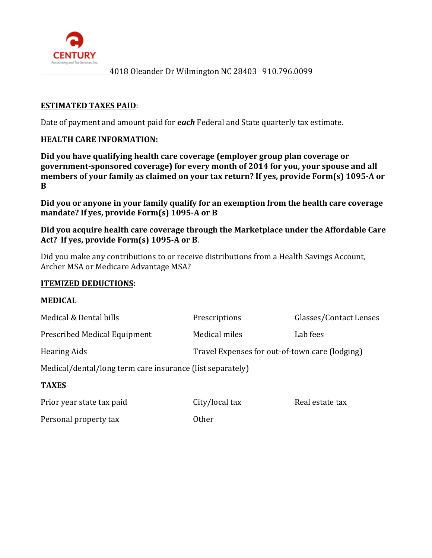

#### **ESTIMATED TAXES PAID:**

Date of payment and amount paid for **each** Federal and State quarterly tax estimate.

#### **HEALTH CARE INFORMATION:**

Did you have qualifying health care coverage (employer group plan coverage or government-sponsored coverage) for every month of 2014 for you, your spouse and all members of your family as claimed on your tax return? If yes, provide Form(s) 1095-A or **B**

Did you or anyone in your family qualify for an exemption from the health care coverage mandate? If yes, provide Form(s) 1095-A or B

#### Did you acquire health care coverage through the Marketplace under the Affordable Care Act? If yes, provide Form(s) 1095-A or B.

Did you make any contributions to or receive distributions from a Health Savings Account, Archer MSA or Medicare Advantage MSA?

#### **ITEMIZED DEDUCTIONS:**

# **MEDICAL** Medical & Dental bills **Prescriptions** Prescriptions Glasses/Contact Lenses Prescribed Medical Equipment Medical miles Lab fees Hearing Aids Travel Expenses for out-of-town care (lodging) Medical/dental/long term care insurance (list separately) **TAXES** Prior year state tax paid City/local tax Real estate tax Personal property tax 0ther